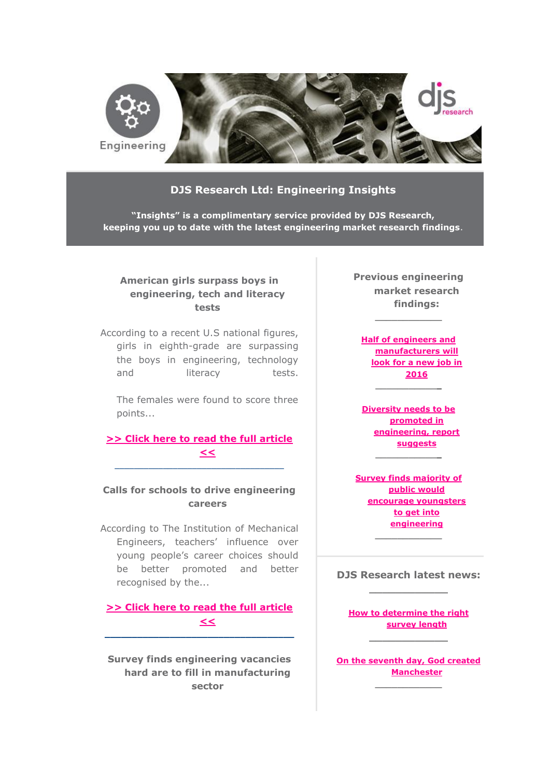

### **DJS Research Ltd: Engineering Insights**

**"Insights" is a complimentary service provided by DJS Research, keeping you up to date with the latest engineering market research findings**.

### **American girls surpass boys in engineering, tech and literacy tests**

According to a recent U.S national figures, girls in eighth-grade are surpassing the boys in engineering, technology and literacy tests.

The females were found to score three points...

# **[>> Click here to read the full article](http://www.djsresearch.co.uk/EngineeringMarketResearchInsightsAndFindings/article/American-girls-surpass-boys-in-engineering-tech-and-literacy-tests-03109)  [<<](http://www.djsresearch.co.uk/EngineeringMarketResearchInsightsAndFindings/article/American-girls-surpass-boys-in-engineering-tech-and-literacy-tests-03109)**

 $\_$  ,  $\_$  ,  $\_$  ,  $\_$  ,  $\_$  ,  $\_$  ,  $\_$  ,  $\_$  ,  $\_$  ,  $\_$  ,  $\_$  ,  $\_$  ,  $\_$  ,  $\_$ 

## **Calls for schools to drive engineering careers**

According to The Institution of Mechanical Engineers, teachers' influence over young people's career choices should be better promoted and better recognised by the...

#### **[>> Click here to read the full article](http://www.djsresearch.co.uk/EngineeringMarketResearchInsightsAndFindings/article/Calls-for-schools-to-drive-engineering-careers-03061)  [<<](http://www.djsresearch.co.uk/EngineeringMarketResearchInsightsAndFindings/article/Calls-for-schools-to-drive-engineering-careers-03061) \_\_\_\_\_\_\_\_\_\_\_\_\_\_\_\_\_\_\_\_\_\_\_\_\_\_\_\_\_\_\_\_\_\_\_**

**Survey finds engineering vacancies hard are to fill in manufacturing sector**

**Previous engineering market research findings:**

**\_\_\_\_\_\_\_\_\_\_\_\_**

**[Half of engineers and](http://www.djsresearch.co.uk/EngineeringMarketResearchInsightsAndFindings/article/Half-of-engineers-and-manufacturers-will-look-for-a-new-job-in-2016-02905)  [manufacturers will](http://www.djsresearch.co.uk/EngineeringMarketResearchInsightsAndFindings/article/Half-of-engineers-and-manufacturers-will-look-for-a-new-job-in-2016-02905)  [look for a new job in](http://www.djsresearch.co.uk/EngineeringMarketResearchInsightsAndFindings/article/Half-of-engineers-and-manufacturers-will-look-for-a-new-job-in-2016-02905)  [2016](http://www.djsresearch.co.uk/EngineeringMarketResearchInsightsAndFindings/article/Half-of-engineers-and-manufacturers-will-look-for-a-new-job-in-2016-02905) \_\_\_\_\_\_\_\_\_\_\_\_**

**[Diversity needs to be](http://www.djsresearch.co.uk/EngineeringMarketResearchInsightsAndFindings/article/Diversity-needs-to-be-promoted-in-engineering-report-suggests-02724)  [promoted in](http://www.djsresearch.co.uk/EngineeringMarketResearchInsightsAndFindings/article/Diversity-needs-to-be-promoted-in-engineering-report-suggests-02724)  [engineering, report](http://www.djsresearch.co.uk/EngineeringMarketResearchInsightsAndFindings/article/Diversity-needs-to-be-promoted-in-engineering-report-suggests-02724)  [suggests](http://www.djsresearch.co.uk/EngineeringMarketResearchInsightsAndFindings/article/Diversity-needs-to-be-promoted-in-engineering-report-suggests-02724) \_\_\_\_\_\_\_\_\_\_\_\_**

**[Survey finds majority of](http://www.djsresearch.co.uk/EngineeringMarketResearchInsightsAndFindings/article/Survey-finds-majority-of-public-would-encourage-youngsters-to-get-into-engineering-02736)  [public would](http://www.djsresearch.co.uk/EngineeringMarketResearchInsightsAndFindings/article/Survey-finds-majority-of-public-would-encourage-youngsters-to-get-into-engineering-02736)  [encourage youngsters](http://www.djsresearch.co.uk/EngineeringMarketResearchInsightsAndFindings/article/Survey-finds-majority-of-public-would-encourage-youngsters-to-get-into-engineering-02736)  [to get into](http://www.djsresearch.co.uk/EngineeringMarketResearchInsightsAndFindings/article/Survey-finds-majority-of-public-would-encourage-youngsters-to-get-into-engineering-02736)  [engineering](http://www.djsresearch.co.uk/EngineeringMarketResearchInsightsAndFindings/article/Survey-finds-majority-of-public-would-encourage-youngsters-to-get-into-engineering-02736)**

### **DJS Research latest news: \_\_\_\_\_\_\_\_\_\_\_\_**

**\_\_\_\_\_\_\_\_\_\_\_\_**

**[How to determine the right](http://www.djsresearch.co.uk/news/article/How-to-determine-the-right-survey-length)  [survey length](http://www.djsresearch.co.uk/news/article/How-to-determine-the-right-survey-length) \_\_\_\_\_\_\_\_\_\_\_\_**

**[On the seventh day, God created](http://www.djsresearch.co.uk/news/article/On-the-seventh-day-God-created-Manchester)  [Manchester](http://www.djsresearch.co.uk/news/article/On-the-seventh-day-God-created-Manchester) \_\_\_\_\_\_\_\_\_\_\_\_**